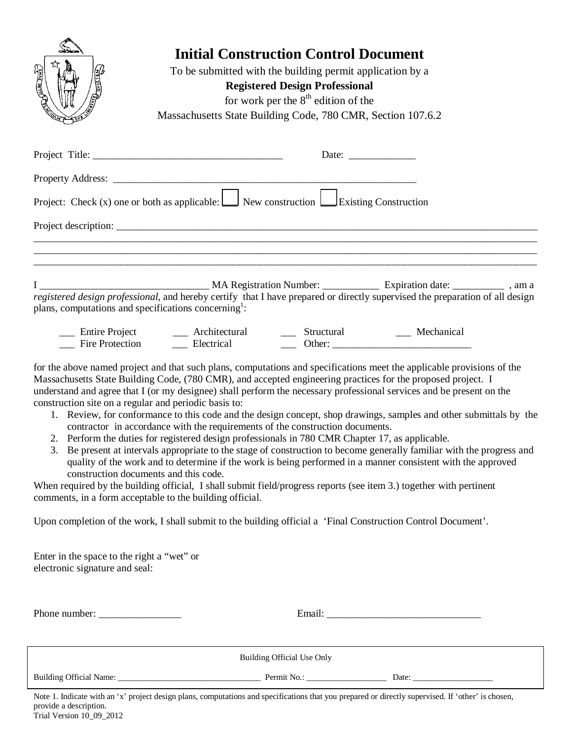

# **Initial Construction Control Document**

To be submitted with the building permit application by a **Registered Design Professional** for work per the  $8<sup>th</sup>$  edition of the Massachusetts State Building Code, 780 CMR, Section 107.6.2

|                                                                                                                                                                                                  | Date: $\frac{1}{\sqrt{1-\frac{1}{2}}\sqrt{1-\frac{1}{2}}\sqrt{1-\frac{1}{2}}\sqrt{1-\frac{1}{2}}}}$ |
|--------------------------------------------------------------------------------------------------------------------------------------------------------------------------------------------------|-----------------------------------------------------------------------------------------------------|
|                                                                                                                                                                                                  |                                                                                                     |
| Project: Check (x) one or both as applicable: $\Box$ New construction $\Box$ Existing Construction                                                                                               |                                                                                                     |
|                                                                                                                                                                                                  |                                                                                                     |
|                                                                                                                                                                                                  |                                                                                                     |
| registered design professional, and hereby certify that I have prepared or directly supervised the preparation of all design<br>plans, computations and specifications concerning <sup>1</sup> : |                                                                                                     |

Firm Project \_\_\_\_ Architectural \_\_\_\_ Structural \_\_\_\_ Mechanical \_\_\_ Fire Protection \_\_\_ Electrical \_\_\_ Other: Fire Protection **Electrical** Dther:

for the above named project and that such plans, computations and specifications meet the applicable provisions of the Massachusetts State Building Code, (780 CMR), and accepted engineering practices for the proposed project. I understand and agree that I (or my designee) shall perform the necessary professional services and be present on the construction site on a regular and periodic basis to:

- 1. Review, for conformance to this code and the design concept, shop drawings, samples and other submittals by the contractor in accordance with the requirements of the construction documents.
- 2. Perform the duties for registered design professionals in 780 CMR Chapter 17, as applicable.
- 3. Be present at intervals appropriate to the stage of construction to become generally familiar with the progress and quality of the work and to determine if the work is being performed in a manner consistent with the approved construction documents and this code.

When required by the building official, I shall submit field/progress reports (see item 3.) together with pertinent comments, in a form acceptable to the building official.

Upon completion of the work, I shall submit to the building official a 'Final Construction Control Document'.

Enter in the space to the right a "wet" or electronic signature and seal:

| Building Official Use Only |  |       |  |  |
|----------------------------|--|-------|--|--|
|                            |  | Date: |  |  |

Trial Version 10\_09\_2012 Note 1. Indicate with an 'x' project design plans, computations and specifications that you prepared or directly supervised. If 'other' is chosen, provide a description.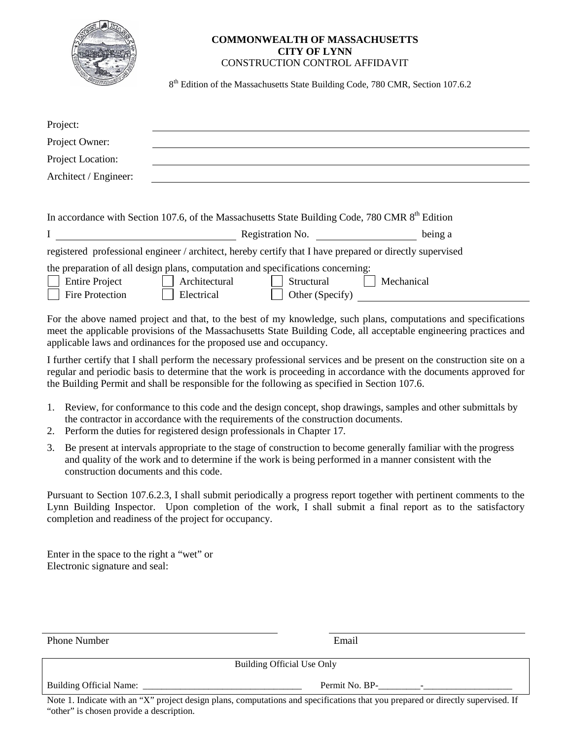| AZO. |  |
|------|--|
|      |  |

#### **COMMONWEALTH OF MASSACHUSETTS CITY OF LYNN** CONSTRUCTION CONTROL AFFIDAVIT

8<sup>th</sup> Edition of the Massachusetts State Building Code, 780 CMR, Section 107.6.2

| Project:                                                                                                 |                                                                                                                                                 |            |  |
|----------------------------------------------------------------------------------------------------------|-------------------------------------------------------------------------------------------------------------------------------------------------|------------|--|
| Project Owner:                                                                                           |                                                                                                                                                 |            |  |
| Project Location:                                                                                        |                                                                                                                                                 |            |  |
| Architect / Engineer:                                                                                    |                                                                                                                                                 |            |  |
|                                                                                                          |                                                                                                                                                 |            |  |
|                                                                                                          | In accordance with Section 107.6, of the Massachusetts State Building Code, 780 CMR 8 <sup>th</sup> Edition                                     |            |  |
| $\mathbf I$                                                                                              | Registration No.                                                                                                                                | being a    |  |
| registered professional engineer / architect, hereby certify that I have prepared or directly supervised |                                                                                                                                                 |            |  |
| <b>Entire Project</b><br><b>Fire Protection</b>                                                          | the preparation of all design plans, computation and specifications concerning:<br>Architectural<br>Structural<br>Electrical<br>Other (Specify) | Mechanical |  |

For the above named project and that, to the best of my knowledge, such plans, computations and specifications meet the applicable provisions of the Massachusetts State Building Code, all acceptable engineering practices and applicable laws and ordinances for the proposed use and occupancy.

I further certify that I shall perform the necessary professional services and be present on the construction site on a regular and periodic basis to determine that the work is proceeding in accordance with the documents approved for the Building Permit and shall be responsible for the following as specified in Section 107.6.

- 1. Review, for conformance to this code and the design concept, shop drawings, samples and other submittals by the contractor in accordance with the requirements of the construction documents.
- 2. Perform the duties for registered design professionals in Chapter 17.
- 3. Be present at intervals appropriate to the stage of construction to become generally familiar with the progress and quality of the work and to determine if the work is being performed in a manner consistent with the construction documents and this code.

Pursuant to Section 107.6.2.3, I shall submit periodically a progress report together with pertinent comments to the Lynn Building Inspector. Upon completion of the work, I shall submit a final report as to the satisfactory completion and readiness of the project for occupancy.

Enter in the space to the right a "wet" or Electronic signature and seal:

Phone Number **Email** 

Building Official Use Only

Building Official Name: The Society of Permit No. BP-

Note 1. Indicate with an "X" project design plans, computations and specifications that you prepared or directly supervised. If "other" is chosen provide a description.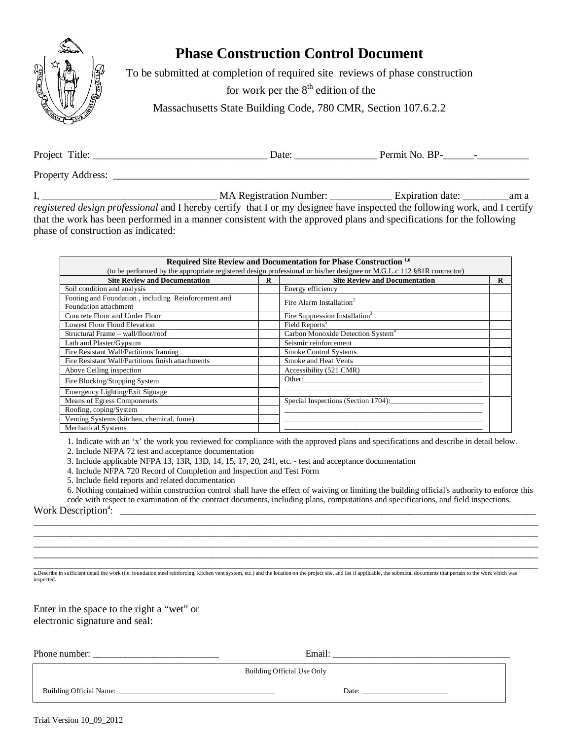

## **Phase Construction Control Document**

To be submitted at completion of required site reviews of phase construction

for work per the  $8<sup>th</sup>$  edition of the

Massachusetts State Building Code, 780 CMR, Section 107.6.2.2

Project Title: \_\_\_\_\_\_\_\_\_\_\_\_\_\_\_\_\_\_\_\_\_\_\_\_\_\_\_\_\_\_\_\_\_\_ Date: \_\_\_\_\_\_\_\_\_\_\_\_\_\_\_\_ Permit No. BP-\_\_\_\_\_\_-\_\_\_\_\_\_\_\_\_\_ Property Address: \_\_\_\_\_\_\_\_\_\_\_\_\_\_\_\_\_\_\_\_\_\_\_\_\_\_\_\_\_\_\_\_\_\_\_\_\_\_\_\_\_\_\_\_\_\_\_\_\_\_\_\_\_\_\_\_\_\_\_\_\_\_\_\_\_\_\_\_\_\_\_\_\_\_\_\_\_\_\_\_\_

I, \_\_\_\_\_\_\_\_\_\_\_\_\_\_\_\_\_\_\_\_\_\_\_\_\_\_\_\_\_\_\_\_\_\_ MA Registration Number: \_\_\_\_\_\_\_\_\_\_\_\_ Expiration date: \_\_\_\_\_\_\_\_\_am a *registered design professional* and I hereby certify that I or my designee have inspected the following work, and I certify that the work has been performed in a manner consistent with the approved plans and specifications for the following phase of construction as indicated:

|                                                     |          | Required Site Review and Documentation for Phase Construction <sup>1,6</sup>                                           |          |
|-----------------------------------------------------|----------|------------------------------------------------------------------------------------------------------------------------|----------|
|                                                     |          | (to be performed by the appropriate registered design professional or his/her designee or M.G.L.c 112 §81R contractor) |          |
| <b>Site Review and Documentation</b>                | $\bf{R}$ | <b>Site Review and Documentation</b>                                                                                   | $\bf{R}$ |
| Soil condition and analysis                         |          | Energy efficiency                                                                                                      |          |
| Footing and Foundation, including Reinforcement and |          | Fire Alarm Installation <sup>2</sup>                                                                                   |          |
| Foundation attachment                               |          |                                                                                                                        |          |
| Concrete Floor and Under Floor                      |          | Fire Suppression Installation <sup>3</sup>                                                                             |          |
| <b>Lowest Floor Flood Elevation</b>                 |          | Field Reports <sup>5</sup>                                                                                             |          |
| Structural Frame - wall/floor/roof                  |          | Carbon Monoxide Detection System <sup>4</sup>                                                                          |          |
| Lath and Plaster/Gypsum                             |          | Seismic reinforcement                                                                                                  |          |
| Fire Resistant Wall/Partitions framing              |          | <b>Smoke Control Systems</b>                                                                                           |          |
| Fire Resistant Wall/Partitions finish attachments   |          | Smoke and Heat Vents                                                                                                   |          |
| Above Ceiling inspection                            |          | Accessibility (521 CMR)                                                                                                |          |
| Fire Blocking/Stopping System                       |          | Other:                                                                                                                 |          |
| Emergency Lighting/Exit Signage                     |          |                                                                                                                        |          |
| Means of Egress Componenets                         |          | Special Inspections (Section 1704):                                                                                    |          |
| Roofing, coping/System                              |          |                                                                                                                        |          |
| Venting Systems (kitchen, chemical, fume)           |          |                                                                                                                        |          |
| <b>Mechanical Systems</b>                           |          |                                                                                                                        |          |

1. Indicate with an 'x' the work you reviewed for compliance with the approved plans and specifications and describe in detail below.

2. Include NFPA 72 test and acceptance documentation

3. Include applicable NFPA 13, 13R, 13D, 14, 15, 17, 20, 241, etc. - test and acceptance documentation

4. Include NFPA 720 Record of Completion and Inspection and Test Form

5. Include field reports and related documentation

6. Nothing contained within construction control shall have the effect of waiving or limiting the building official's authority to enforce this code with respect to examination of the contract documents, including plans, computations and specifications, and field inspections. :  $\pm$  ,  $\pm$  ,  $\pm$  ,  $\pm$  ,  $\pm$  ,  $\pm$  ,  $\pm$  ,  $\pm$  ,  $\pm$  ,  $\pm$  ,  $\pm$  ,  $\pm$  ,  $\pm$  ,  $\pm$  ,  $\pm$  ,  $\pm$  ,  $\pm$  ,  $\pm$  ,  $\pm$  ,  $\pm$  ,  $\pm$  ,  $\pm$  ,  $\pm$  ,  $\pm$  ,  $\pm$  ,  $\pm$  ,  $\pm$  ,  $\pm$  ,  $\pm$  ,  $\pm$  ,  $\pm$  ,  $\$ 

\_\_\_\_\_\_\_\_\_\_\_\_\_\_\_\_\_\_\_\_\_\_\_\_\_\_\_\_\_\_\_\_\_\_\_\_\_\_\_\_\_\_\_\_\_\_\_\_\_\_\_\_\_\_\_\_\_\_\_\_\_\_\_\_\_\_\_\_\_\_\_\_\_\_\_\_\_\_\_\_\_\_\_\_\_\_\_\_\_\_\_\_\_\_\_\_\_\_\_\_\_\_\_\_\_\_\_\_ \_\_\_\_\_\_\_\_\_\_\_\_\_\_\_\_\_\_\_\_\_\_\_\_\_\_\_\_\_\_\_\_\_\_\_\_\_\_\_\_\_\_\_\_\_\_\_\_\_\_\_\_\_\_\_\_\_\_\_\_\_\_\_\_\_\_\_\_\_\_\_\_\_\_\_\_\_\_\_\_\_\_\_\_\_\_\_\_\_\_\_\_\_\_\_\_\_\_\_\_\_\_\_\_\_\_\_\_ \_\_\_\_\_\_\_\_\_\_\_\_\_\_\_\_\_\_\_\_\_\_\_\_\_\_\_\_\_\_\_\_\_\_\_\_\_\_\_\_\_\_\_\_\_\_\_\_\_\_\_\_\_\_\_\_\_\_\_\_\_\_\_\_\_\_\_\_\_\_\_\_\_\_\_\_\_\_\_\_\_\_\_\_\_\_\_\_\_\_\_\_\_\_\_\_\_\_\_\_\_\_\_\_\_\_\_\_ \_\_\_\_\_\_\_\_\_\_\_\_\_\_\_\_\_\_\_\_\_\_\_\_\_\_\_\_\_\_\_\_\_\_\_\_\_\_\_\_\_\_\_\_\_\_\_\_\_\_\_\_\_\_\_\_\_\_\_\_\_\_\_\_\_\_\_\_\_\_\_\_\_\_\_\_\_\_\_\_\_\_\_\_\_\_\_\_\_\_\_\_\_\_\_\_\_\_\_\_\_\_\_\_\_\_\_\_

Work Description<sup>a</sup>:

a.Describe in sufficient detail the work (i.e. foundation steel reinforcing, kitchen vent system, etc.) and the location on the project site, and list if applicable, the submittal documents that pertain to the work which w inspected.

Enter in the space to the right a "wet" or electronic signature and seal:

Phone number: \_\_\_\_\_\_\_\_\_\_\_\_\_\_\_\_\_\_\_\_\_\_\_\_\_\_\_ Email: \_\_\_\_\_\_\_\_\_\_\_\_\_\_\_\_\_\_\_\_\_\_\_\_\_\_\_\_\_\_\_\_\_\_\_\_\_\_

Building Official Use Only

Building Official Name: \_\_\_\_\_\_\_\_\_\_\_\_\_\_\_\_\_\_\_\_\_\_\_\_\_\_\_\_\_\_\_\_\_\_\_\_\_\_\_\_\_\_ Date: \_\_\_\_\_\_\_\_\_\_\_\_\_\_\_\_\_\_\_\_\_\_\_